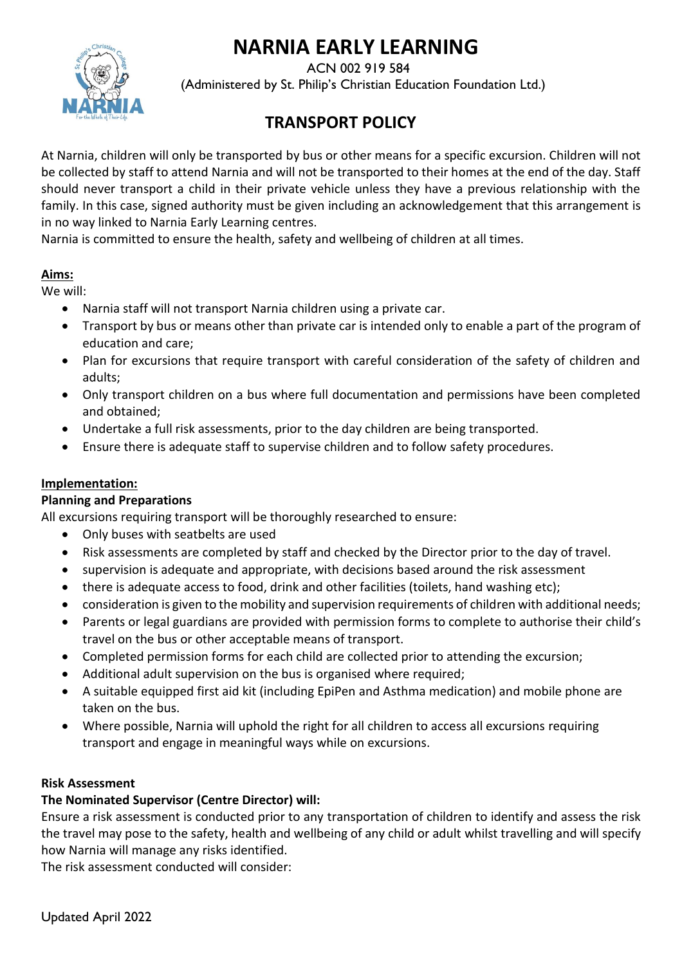# **NARNIA EARLY LEARNING**

ACN 002 919 584



(Administered by St. Philip's Christian Education Foundation Ltd.)

## **TRANSPORT POLICY**

At Narnia, children will only be transported by bus or other means for a specific excursion. Children will not be collected by staff to attend Narnia and will not be transported to their homes at the end of the day. Staff should never transport a child in their private vehicle unless they have a previous relationship with the family. In this case, signed authority must be given including an acknowledgement that this arrangement is in no way linked to Narnia Early Learning centres.

Narnia is committed to ensure the health, safety and wellbeing of children at all times.

## **Aims:**

We will:

- Narnia staff will not transport Narnia children using a private car.
- Transport by bus or means other than private car is intended only to enable a part of the program of education and care;
- Plan for excursions that require transport with careful consideration of the safety of children and adults;
- Only transport children on a bus where full documentation and permissions have been completed and obtained;
- Undertake a full risk assessments, prior to the day children are being transported.
- Ensure there is adequate staff to supervise children and to follow safety procedures.

## **Implementation:**

## **Planning and Preparations**

All excursions requiring transport will be thoroughly researched to ensure:

- Only buses with seatbelts are used
- Risk assessments are completed by staff and checked by the Director prior to the day of travel.
- supervision is adequate and appropriate, with decisions based around the risk assessment
- there is adequate access to food, drink and other facilities (toilets, hand washing etc);
- consideration is given to the mobility and supervision requirements of children with additional needs;
- Parents or legal guardians are provided with permission forms to complete to authorise their child's travel on the bus or other acceptable means of transport.
- Completed permission forms for each child are collected prior to attending the excursion;
- Additional adult supervision on the bus is organised where required;
- A suitable equipped first aid kit (including EpiPen and Asthma medication) and mobile phone are taken on the bus.
- Where possible, Narnia will uphold the right for all children to access all excursions requiring transport and engage in meaningful ways while on excursions.

## **Risk Assessment**

## **The Nominated Supervisor (Centre Director) will:**

Ensure a risk assessment is conducted prior to any transportation of children to identify and assess the risk the travel may pose to the safety, health and wellbeing of any child or adult whilst travelling and will specify how Narnia will manage any risks identified.

The risk assessment conducted will consider: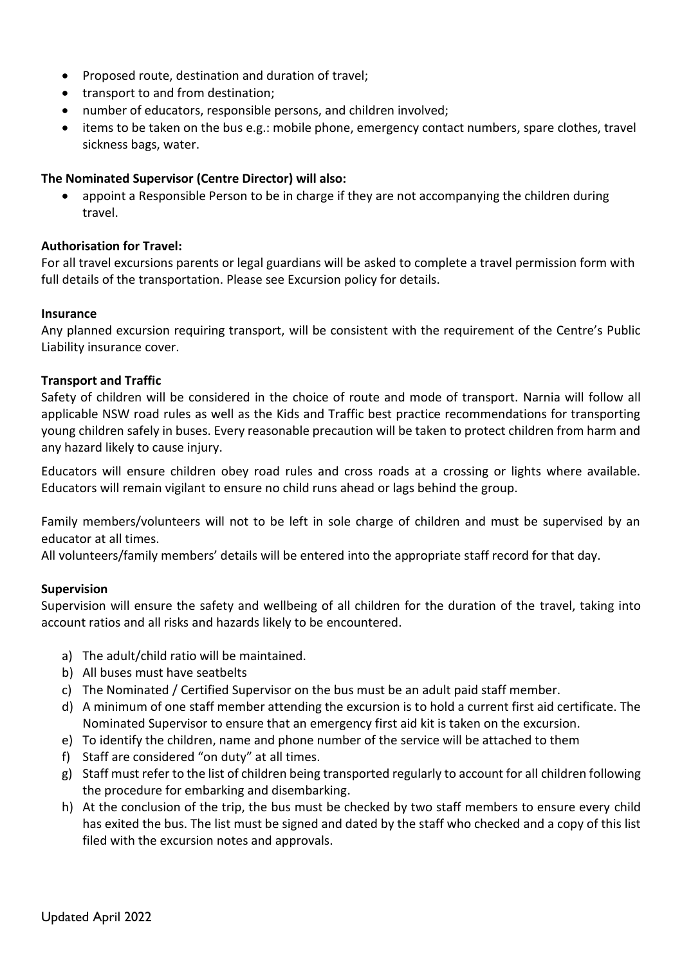- Proposed route, destination and duration of travel;
- transport to and from destination;
- number of educators, responsible persons, and children involved;
- items to be taken on the bus e.g.: mobile phone, emergency contact numbers, spare clothes, travel sickness bags, water.

#### **The Nominated Supervisor (Centre Director) will also:**

• appoint a Responsible Person to be in charge if they are not accompanying the children during travel.

#### **Authorisation for Travel:**

For all travel excursions parents or legal guardians will be asked to complete a travel permission form with full details of the transportation. Please see Excursion policy for details.

#### **Insurance**

Any planned excursion requiring transport, will be consistent with the requirement of the Centre's Public Liability insurance cover.

#### **Transport and Traffic**

Safety of children will be considered in the choice of route and mode of transport. Narnia will follow all applicable NSW road rules as well as the Kids and Traffic best practice recommendations for transporting young children safely in buses. Every reasonable precaution will be taken to protect children from harm and any hazard likely to cause injury.

Educators will ensure children obey road rules and cross roads at a crossing or lights where available. Educators will remain vigilant to ensure no child runs ahead or lags behind the group.

Family members/volunteers will not to be left in sole charge of children and must be supervised by an educator at all times.

All volunteers/family members' details will be entered into the appropriate staff record for that day.

#### **Supervision**

Supervision will ensure the safety and wellbeing of all children for the duration of the travel, taking into account ratios and all risks and hazards likely to be encountered.

- a) The adult/child ratio will be maintained.
- b) All buses must have seatbelts
- c) The Nominated / Certified Supervisor on the bus must be an adult paid staff member.
- d) A minimum of one staff member attending the excursion is to hold a current first aid certificate. The Nominated Supervisor to ensure that an emergency first aid kit is taken on the excursion.
- e) To identify the children, name and phone number of the service will be attached to them
- f) Staff are considered "on duty" at all times.
- g) Staff must refer to the list of children being transported regularly to account for all children following the procedure for embarking and disembarking.
- h) At the conclusion of the trip, the bus must be checked by two staff members to ensure every child has exited the bus. The list must be signed and dated by the staff who checked and a copy of this list filed with the excursion notes and approvals.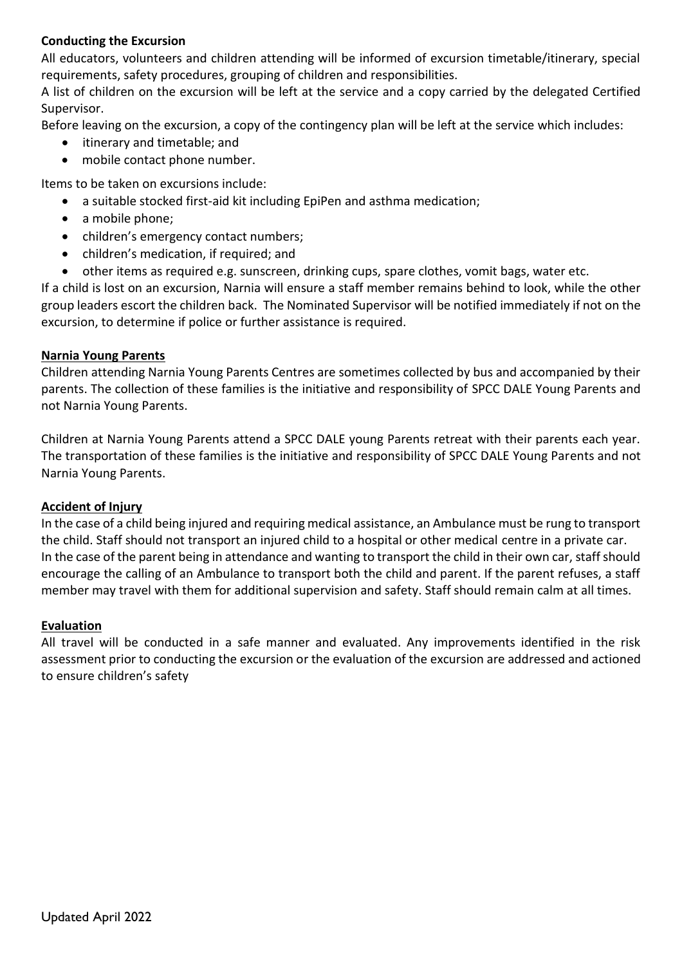#### **Conducting the Excursion**

All educators, volunteers and children attending will be informed of excursion timetable/itinerary, special requirements, safety procedures, grouping of children and responsibilities.

A list of children on the excursion will be left at the service and a copy carried by the delegated Certified Supervisor.

Before leaving on the excursion, a copy of the contingency plan will be left at the service which includes:

- itinerary and timetable; and
- mobile contact phone number.

Items to be taken on excursions include:

- a suitable stocked first-aid kit including EpiPen and asthma medication;
- a mobile phone;
- children's emergency contact numbers;
- children's medication, if required; and
- other items as required e.g. sunscreen, drinking cups, spare clothes, vomit bags, water etc.

If a child is lost on an excursion, Narnia will ensure a staff member remains behind to look, while the other group leaders escort the children back. The Nominated Supervisor will be notified immediately if not on the excursion, to determine if police or further assistance is required.

#### **Narnia Young Parents**

Children attending Narnia Young Parents Centres are sometimes collected by bus and accompanied by their parents. The collection of these families is the initiative and responsibility of SPCC DALE Young Parents and not Narnia Young Parents.

Children at Narnia Young Parents attend a SPCC DALE young Parents retreat with their parents each year. The transportation of these families is the initiative and responsibility of SPCC DALE Young Parents and not Narnia Young Parents.

#### **Accident of Injury**

In the case of a child being injured and requiring medical assistance, an Ambulance must be rung to transport the child. Staff should not transport an injured child to a hospital or other medical centre in a private car. In the case of the parent being in attendance and wanting to transport the child in their own car, staff should encourage the calling of an Ambulance to transport both the child and parent. If the parent refuses, a staff member may travel with them for additional supervision and safety. Staff should remain calm at all times.

#### **Evaluation**

All travel will be conducted in a safe manner and evaluated. Any improvements identified in the risk assessment prior to conducting the excursion or the evaluation of the excursion are addressed and actioned to ensure children's safety